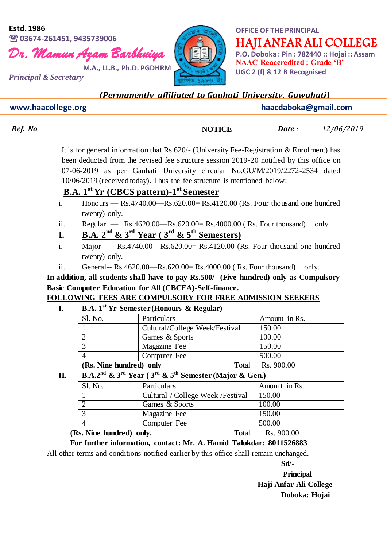#### **Estd. 1986 03674-261451, 9435739006**





# HAJI ANFAR ALI COLLEGE

**OFFICE OF THE PRINCIPAL**

**P.O. Doboka : Pin : 782440 :: Hojai :: Assam NAAC Reaccredited : Grade 'B' UGC 2 (f) & 12 B Recognised**

*Principal & Secretary* 

*(Permanently affiliated to Gauhati University, Guwahati)*

 **www.haacollege.org haacdaboka@gmail.com**

**NOTICE**

*Ref. No Date**:**Date**:**12/06/2019* 

It is for general information that Rs.620/- (University Fee-Registration & Enrolment) has been deducted from the revised fee structure session 2019-20 notified by this office on 07-06-2019 as per Gauhati University circular No.GU/M/2019/2272-2534 dated 10/06/2019 (received today). Thus the fee structure is mentioned below:

### **B.A. 1st Yr (CBCS pattern)-1 st Semester**

- i. Honours  $Rs.4740.00 Rs.620.00 = Rs.4120.00$  (Rs. Four thousand one hundred twenty) only.
- ii. Regular  $Rs.4620.00 Rs.620.00 = Rs.4000.00$  (Rs. Four thousand) only.
- **I. B.A.**  $2^{nd}$  &  $3^{rd}$  Year ( $3^{rd}$  &  $5^{th}$  Semesters)
- i. Major  $Rs.4740.00 Rs.620.00 = Rs.4120.00$  (Rs. Four thousand one hundred twenty) only.
- ii. General-- Rs.4620.00—Rs.620.00= Rs.4000.00 ( Rs. Four thousand) only.

**In addition, all students shall have to pay Rs.500/- (Five hundred) only as Compulsory Basic Computer Education for All (CBCEA)-Self-finance.**

**FOLLOWING FEES ARE COMPULSORY FOR FREE ADMISSION SEEKERS**

**I. B.A. 1st Yr Semester (Honours & Regular)—**

| Sl. No.                 | Particulars                    | Amount in Rs. |
|-------------------------|--------------------------------|---------------|
|                         | Cultural/College Week/Festival | 150.00        |
|                         | Games & Sports                 | 100.00        |
|                         | Magazine Fee                   | 150.00        |
|                         | Computer Fee                   | 500.00        |
| (Rs. Nine hundred) only | Total                          | Rs.900.00     |

**II. B.A.2**<sup>nd</sup> & 3<sup>rd</sup> **Year** (3<sup>rd</sup> & 5<sup>th</sup> Semester (Major & Gen.)—

| Sl. No.                                                                                 | Particulars                        | Amount in Rs.                                 |
|-----------------------------------------------------------------------------------------|------------------------------------|-----------------------------------------------|
|                                                                                         | Cultural / College Week / Festival | 150.00                                        |
|                                                                                         | Games & Sports                     | 100.00                                        |
|                                                                                         | Magazine Fee                       | 150.00                                        |
|                                                                                         | Computer Fee                       | 500.00                                        |
| $\mathbf{r}$ , $\mathbf{r}$ , $\mathbf{r}$ , $\mathbf{r}$ , $\mathbf{r}$ , $\mathbf{r}$ |                                    | $\mathbf{r}$ is $\mathbf{r}$ and $\mathbf{r}$ |

**(Rs. Nine hundred) only.** Total Rs. 900.00

**For further information, contact: Mr. A. Hamid Talukdar: 8011526883**

All other terms and conditions notified earlier by this office shall remain unchanged.

**Sd/-**

**Principal Haji Anfar Ali College Doboka: Hojai**